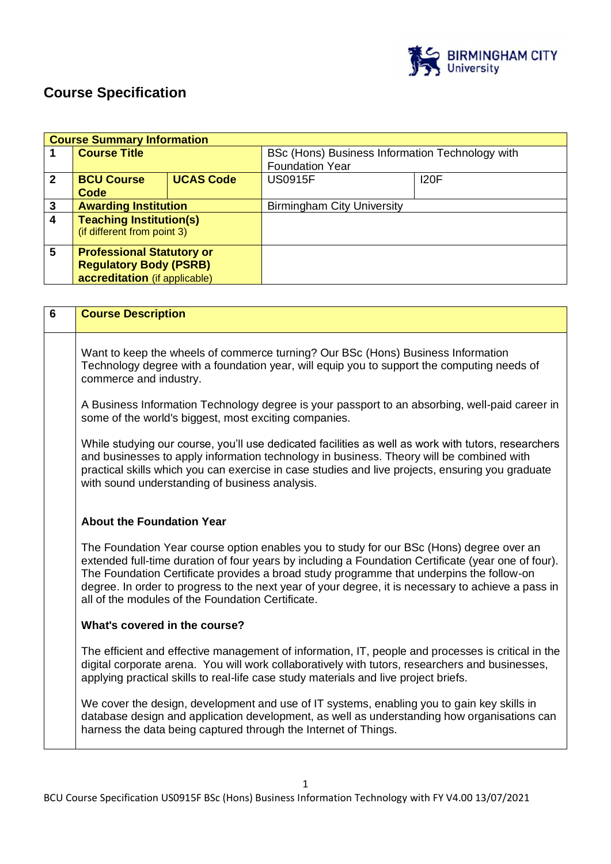

# **Course Specification**

|              | <b>Course Summary Information</b> |                  |                                                 |             |
|--------------|-----------------------------------|------------------|-------------------------------------------------|-------------|
|              | <b>Course Title</b>               |                  | BSc (Hons) Business Information Technology with |             |
|              |                                   |                  | <b>Foundation Year</b>                          |             |
| $\mathbf{2}$ | <b>BCU Course</b>                 | <b>UCAS Code</b> | <b>US0915F</b>                                  | <b>I20F</b> |
|              | Code                              |                  |                                                 |             |
| 3            | <b>Awarding Institution</b>       |                  | <b>Birmingham City University</b>               |             |
| 4            | <b>Teaching Institution(s)</b>    |                  |                                                 |             |
|              | (if different from point 3)       |                  |                                                 |             |
| 5            | <b>Professional Statutory or</b>  |                  |                                                 |             |
|              | <b>Regulatory Body (PSRB)</b>     |                  |                                                 |             |
|              | accreditation (if applicable)     |                  |                                                 |             |
|              |                                   |                  |                                                 |             |

| $6\phantom{1}6$ | <b>Course Description</b>                                                                                                                                                                                                                                                                                                                                                                                                                              |
|-----------------|--------------------------------------------------------------------------------------------------------------------------------------------------------------------------------------------------------------------------------------------------------------------------------------------------------------------------------------------------------------------------------------------------------------------------------------------------------|
|                 | Want to keep the wheels of commerce turning? Our BSc (Hons) Business Information<br>Technology degree with a foundation year, will equip you to support the computing needs of<br>commerce and industry.                                                                                                                                                                                                                                               |
|                 | A Business Information Technology degree is your passport to an absorbing, well-paid career in<br>some of the world's biggest, most exciting companies.                                                                                                                                                                                                                                                                                                |
|                 | While studying our course, you'll use dedicated facilities as well as work with tutors, researchers<br>and businesses to apply information technology in business. Theory will be combined with<br>practical skills which you can exercise in case studies and live projects, ensuring you graduate<br>with sound understanding of business analysis.                                                                                                  |
|                 | <b>About the Foundation Year</b>                                                                                                                                                                                                                                                                                                                                                                                                                       |
|                 | The Foundation Year course option enables you to study for our BSc (Hons) degree over an<br>extended full-time duration of four years by including a Foundation Certificate (year one of four).<br>The Foundation Certificate provides a broad study programme that underpins the follow-on<br>degree. In order to progress to the next year of your degree, it is necessary to achieve a pass in<br>all of the modules of the Foundation Certificate. |
|                 | What's covered in the course?                                                                                                                                                                                                                                                                                                                                                                                                                          |
|                 | The efficient and effective management of information, IT, people and processes is critical in the<br>digital corporate arena. You will work collaboratively with tutors, researchers and businesses,<br>applying practical skills to real-life case study materials and live project briefs.                                                                                                                                                          |
|                 | We cover the design, development and use of IT systems, enabling you to gain key skills in<br>database design and application development, as well as understanding how organisations can<br>harness the data being captured through the Internet of Things.                                                                                                                                                                                           |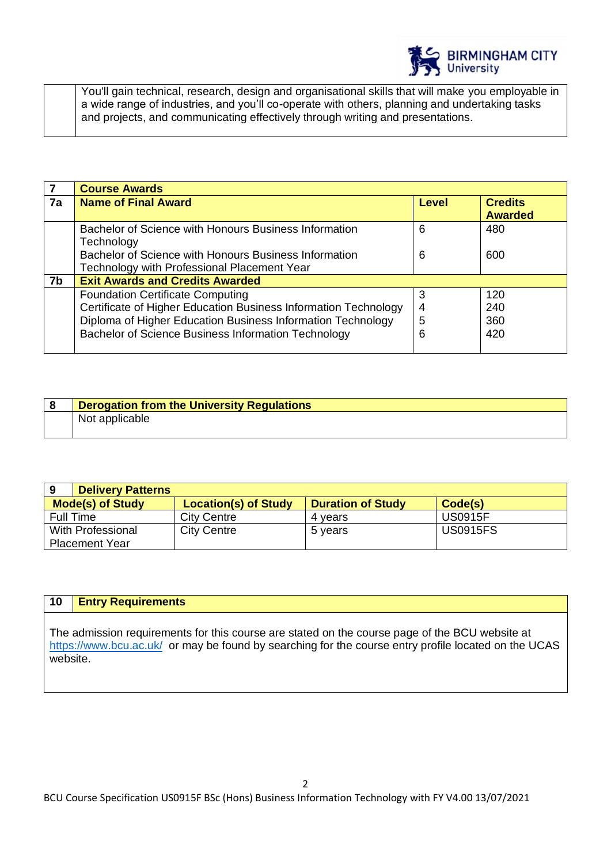

You'll gain technical, research, design and organisational skills that will make you employable in a wide range of industries, and you'll co-operate with others, planning and undertaking tasks and projects, and communicating effectively through writing and presentations.

|                | <b>Course Awards</b>                                            |       |                |
|----------------|-----------------------------------------------------------------|-------|----------------|
| 7a             | <b>Name of Final Award</b>                                      | Level | <b>Credits</b> |
|                |                                                                 |       | <b>Awarded</b> |
|                | Bachelor of Science with Honours Business Information           | 6     | 480            |
|                | Technology                                                      |       |                |
|                | Bachelor of Science with Honours Business Information           | 6     | 600            |
|                | Technology with Professional Placement Year                     |       |                |
| 7 <sub>b</sub> | <b>Exit Awards and Credits Awarded</b>                          |       |                |
|                | <b>Foundation Certificate Computing</b>                         | 3     | 120            |
|                | Certificate of Higher Education Business Information Technology | 4     | 240            |
|                | Diploma of Higher Education Business Information Technology     | 5     | 360            |
|                | Bachelor of Science Business Information Technology             | 6     | 420            |
|                |                                                                 |       |                |

| <b>Derogation from the University Regulations</b> |
|---------------------------------------------------|
| Not applicable                                    |

| 9<br><b>Delivery Patterns</b> |                             |                          |                 |
|-------------------------------|-----------------------------|--------------------------|-----------------|
| <b>Mode(s) of Study</b>       | <b>Location(s) of Study</b> | <b>Duration of Study</b> | Code(s)         |
| Full Time                     | <b>City Centre</b>          | 4 vears                  | <b>US0915F</b>  |
| With Professional             | <b>City Centre</b>          | 5 years                  | <b>US0915FS</b> |
| <b>Placement Year</b>         |                             |                          |                 |

# **10 Entry Requirements**

The admission requirements for this course are stated on the course page of the BCU website at <https://www.bcu.ac.uk/>or may be found by searching for the course entry profile located on the UCAS website.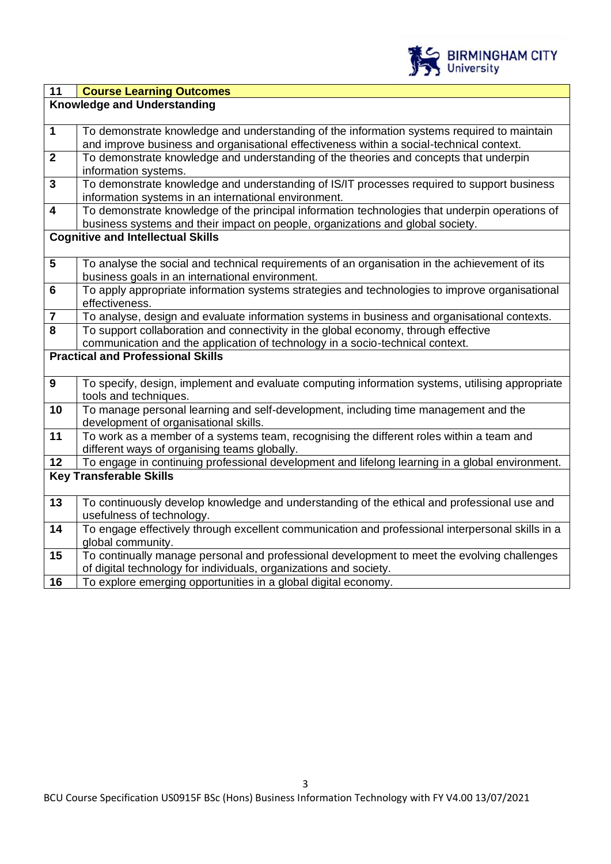

| $\overline{11}$                                                                                                           | <b>Course Learning Outcomes</b>                                                                                                                                                    |  |
|---------------------------------------------------------------------------------------------------------------------------|------------------------------------------------------------------------------------------------------------------------------------------------------------------------------------|--|
|                                                                                                                           | <b>Knowledge and Understanding</b>                                                                                                                                                 |  |
|                                                                                                                           |                                                                                                                                                                                    |  |
| $\mathbf 1$                                                                                                               | To demonstrate knowledge and understanding of the information systems required to maintain                                                                                         |  |
|                                                                                                                           | and improve business and organisational effectiveness within a social-technical context.                                                                                           |  |
| $\overline{2}$                                                                                                            | To demonstrate knowledge and understanding of the theories and concepts that underpin                                                                                              |  |
|                                                                                                                           | information systems.                                                                                                                                                               |  |
| $\overline{\mathbf{3}}$                                                                                                   | To demonstrate knowledge and understanding of IS/IT processes required to support business                                                                                         |  |
|                                                                                                                           | information systems in an international environment.                                                                                                                               |  |
| $\overline{\mathbf{4}}$                                                                                                   | To demonstrate knowledge of the principal information technologies that underpin operations of                                                                                     |  |
|                                                                                                                           | business systems and their impact on people, organizations and global society.                                                                                                     |  |
|                                                                                                                           | <b>Cognitive and Intellectual Skills</b>                                                                                                                                           |  |
|                                                                                                                           |                                                                                                                                                                                    |  |
| $\overline{\mathbf{5}}$                                                                                                   | To analyse the social and technical requirements of an organisation in the achievement of its                                                                                      |  |
| $6\phantom{a}$                                                                                                            | business goals in an international environment.                                                                                                                                    |  |
|                                                                                                                           | To apply appropriate information systems strategies and technologies to improve organisational                                                                                     |  |
| $\overline{7}$                                                                                                            | effectiveness.                                                                                                                                                                     |  |
| 8                                                                                                                         | To analyse, design and evaluate information systems in business and organisational contexts.<br>To support collaboration and connectivity in the global economy, through effective |  |
|                                                                                                                           |                                                                                                                                                                                    |  |
| communication and the application of technology in a socio-technical context.<br><b>Practical and Professional Skills</b> |                                                                                                                                                                                    |  |
|                                                                                                                           |                                                                                                                                                                                    |  |
| $\boldsymbol{9}$                                                                                                          | To specify, design, implement and evaluate computing information systems, utilising appropriate                                                                                    |  |
|                                                                                                                           | tools and techniques.                                                                                                                                                              |  |
| 10                                                                                                                        | To manage personal learning and self-development, including time management and the                                                                                                |  |
|                                                                                                                           | development of organisational skills.                                                                                                                                              |  |
| 11                                                                                                                        | To work as a member of a systems team, recognising the different roles within a team and                                                                                           |  |
|                                                                                                                           | different ways of organising teams globally.                                                                                                                                       |  |
| 12                                                                                                                        | To engage in continuing professional development and lifelong learning in a global environment.                                                                                    |  |
|                                                                                                                           | <b>Key Transferable Skills</b>                                                                                                                                                     |  |
|                                                                                                                           |                                                                                                                                                                                    |  |
| 13                                                                                                                        | To continuously develop knowledge and understanding of the ethical and professional use and                                                                                        |  |
|                                                                                                                           | usefulness of technology.                                                                                                                                                          |  |
| 14                                                                                                                        | To engage effectively through excellent communication and professional interpersonal skills in a                                                                                   |  |
|                                                                                                                           | global community.                                                                                                                                                                  |  |
| 15                                                                                                                        | To continually manage personal and professional development to meet the evolving challenges                                                                                        |  |
|                                                                                                                           | of digital technology for individuals, organizations and society.                                                                                                                  |  |
| 16                                                                                                                        | To explore emerging opportunities in a global digital economy.                                                                                                                     |  |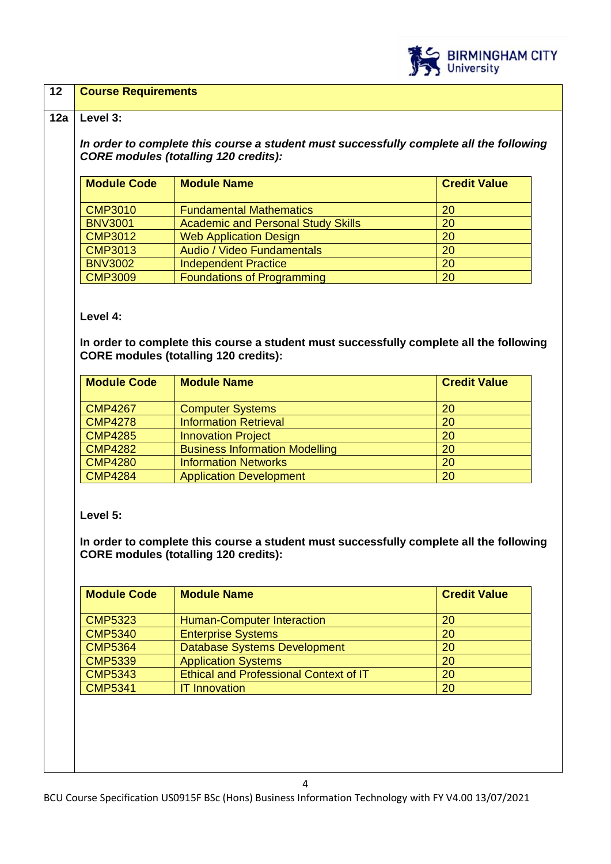

#### **12 Course Requirements**

#### **12a Level 3:**

*In order to complete this course a student must successfully complete all the following CORE modules (totalling 120 credits):*

| <b>Module Code</b> | <b>Module Name</b>                        | <b>Credit Value</b> |
|--------------------|-------------------------------------------|---------------------|
| <b>CMP3010</b>     | <b>Fundamental Mathematics</b>            | 20                  |
| <b>BNV3001</b>     | <b>Academic and Personal Study Skills</b> | 20                  |
| <b>CMP3012</b>     | <b>Web Application Design</b>             | 20                  |
| <b>CMP3013</b>     | Audio / Video Fundamentals                | 20                  |
| <b>BNV3002</b>     | <b>Independent Practice</b>               | 20                  |
| <b>CMP3009</b>     | <b>Foundations of Programming</b>         | 20                  |

**Level 4:**

**In order to complete this course a student must successfully complete all the following CORE modules (totalling 120 credits):**

| <b>Module Code</b> | <b>Module Name</b>                    | <b>Credit Value</b> |
|--------------------|---------------------------------------|---------------------|
| <b>CMP4267</b>     | <b>Computer Systems</b>               | 20                  |
| <b>CMP4278</b>     | <b>Information Retrieval</b>          | 20                  |
| <b>CMP4285</b>     | <b>Innovation Project</b>             | <b>20</b>           |
| <b>CMP4282</b>     | <b>Business Information Modelling</b> | 20                  |
| <b>CMP4280</b>     | <b>Information Networks</b>           | 20                  |
| <b>CMP4284</b>     | <b>Application Development</b>        | 20                  |

**Level 5:**

**In order to complete this course a student must successfully complete all the following CORE modules (totalling 120 credits):**

| <b>Module Code</b> | <b>Module Name</b>                            | <b>Credit Value</b> |
|--------------------|-----------------------------------------------|---------------------|
| <b>CMP5323</b>     | <b>Human-Computer Interaction</b>             | 20                  |
| <b>CMP5340</b>     | <b>Enterprise Systems</b>                     | 20                  |
| <b>CMP5364</b>     | <b>Database Systems Development</b>           | 20                  |
| <b>CMP5339</b>     | <b>Application Systems</b>                    | 20                  |
| <b>CMP5343</b>     | <b>Ethical and Professional Context of IT</b> | 20                  |
| <b>CMP5341</b>     | <b>IT Innovation</b>                          | 20                  |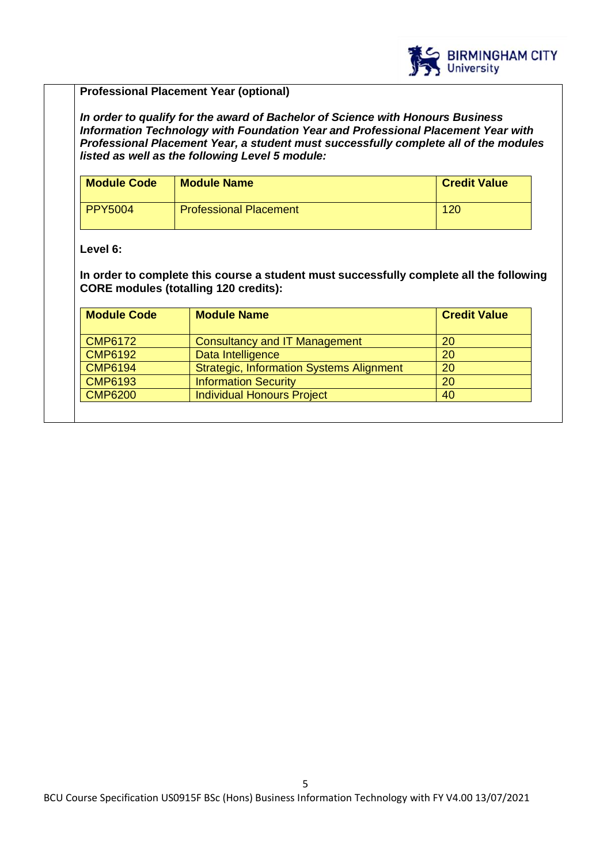

# **Professional Placement Year (optional)**

*In order to qualify for the award of Bachelor of Science with Honours Business Information Technology with Foundation Year and Professional Placement Year with Professional Placement Year, a student must successfully complete all of the modules listed as well as the following Level 5 module:*

| <b>Module Code</b> | <b>Module Name</b>            | <b>Credit Value</b> |
|--------------------|-------------------------------|---------------------|
| PPY5004            | <b>Professional Placement</b> | 120                 |

# **Level 6:**

**In order to complete this course a student must successfully complete all the following CORE modules (totalling 120 credits):**

| <b>Module Code</b> | <b>Module Name</b>                              | <b>Credit Value</b> |
|--------------------|-------------------------------------------------|---------------------|
| <b>CMP6172</b>     | <b>Consultancy and IT Management</b>            | 20                  |
| <b>CMP6192</b>     | Data Intelligence                               | 20                  |
| <b>CMP6194</b>     | <b>Strategic, Information Systems Alignment</b> | 20                  |
| <b>CMP6193</b>     | <b>Information Security</b>                     | 20                  |
| <b>CMP6200</b>     | <b>Individual Honours Project</b>               | 40                  |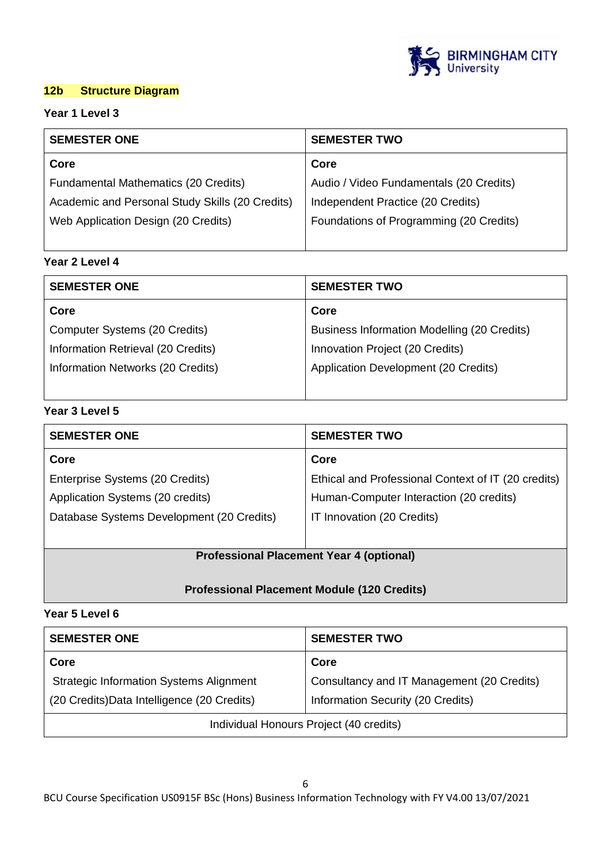

# **12b Structure Diagram**

# **Year 1 Level 3**

| <b>SEMESTER ONE</b>                             | <b>SEMESTER TWO</b>                     |  |
|-------------------------------------------------|-----------------------------------------|--|
| Core                                            | Core                                    |  |
| <b>Fundamental Mathematics (20 Credits)</b>     | Audio / Video Fundamentals (20 Credits) |  |
| Academic and Personal Study Skills (20 Credits) | Independent Practice (20 Credits)       |  |
| Web Application Design (20 Credits)             | Foundations of Programming (20 Credits) |  |
|                                                 |                                         |  |

# **Year 2 Level 4**

| <b>SEMESTER ONE</b>                | <b>SEMESTER TWO</b>                         |
|------------------------------------|---------------------------------------------|
| Core                               | Core                                        |
| Computer Systems (20 Credits)      | Business Information Modelling (20 Credits) |
| Information Retrieval (20 Credits) | Innovation Project (20 Credits)             |
| Information Networks (20 Credits)  | Application Development (20 Credits)        |
|                                    |                                             |

# **Year 3 Level 5**

| <b>SEMESTER TWO</b>                                 |
|-----------------------------------------------------|
| Core                                                |
| Ethical and Professional Context of IT (20 credits) |
| Human-Computer Interaction (20 credits)             |
| IT Innovation (20 Credits)                          |
|                                                     |
|                                                     |

# **Professional Placement Year 4 (optional)**

# **Professional Placement Module (120 Credits)**

### **Year 5 Level 6**

| <b>SEMESTER ONE</b>                            | <b>SEMESTER TWO</b>                        |
|------------------------------------------------|--------------------------------------------|
| Core                                           | Core                                       |
| <b>Strategic Information Systems Alignment</b> | Consultancy and IT Management (20 Credits) |
| (20 Credits) Data Intelligence (20 Credits)    | Information Security (20 Credits)          |
| Individual Honours Project (40 credits)        |                                            |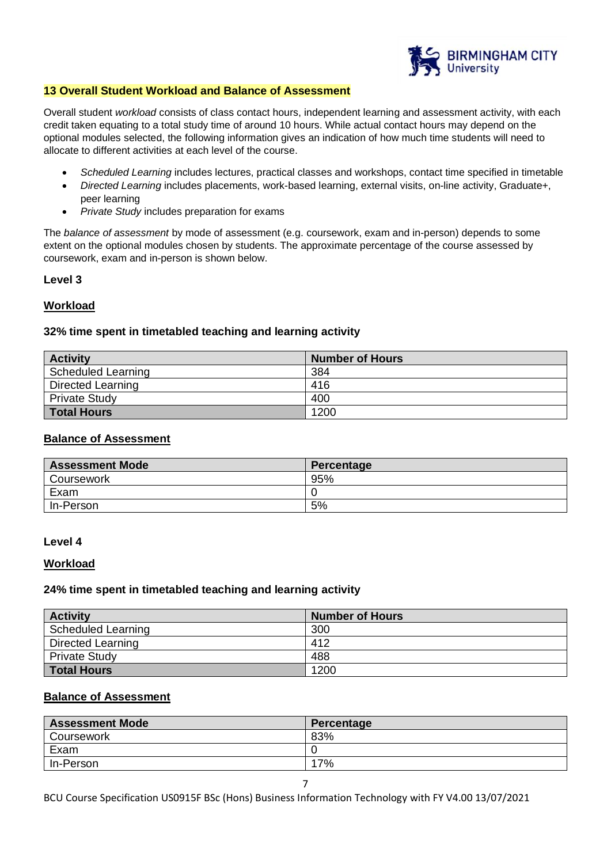

#### **13 Overall Student Workload and Balance of Assessment**

Overall student *workload* consists of class contact hours, independent learning and assessment activity, with each credit taken equating to a total study time of around 10 hours. While actual contact hours may depend on the optional modules selected, the following information gives an indication of how much time students will need to allocate to different activities at each level of the course.

- *Scheduled Learning* includes lectures, practical classes and workshops, contact time specified in timetable
- *Directed Learning* includes placements, work-based learning, external visits, on-line activity, Graduate+, peer learning
- *Private Study* includes preparation for exams

The *balance of assessment* by mode of assessment (e.g. coursework, exam and in-person) depends to some extent on the optional modules chosen by students. The approximate percentage of the course assessed by coursework, exam and in-person is shown below.

#### **Level 3**

### **Workload**

#### **32% time spent in timetabled teaching and learning activity**

| <b>Activity</b>      | <b>Number of Hours</b> |
|----------------------|------------------------|
| Scheduled Learning   | 384                    |
| Directed Learning    | 416                    |
| <b>Private Study</b> | 400                    |
| <b>Total Hours</b>   | 1200                   |

### **Balance of Assessment**

| <b>Assessment Mode</b> | Percentage |
|------------------------|------------|
| Coursework             | 95%        |
| Exam                   |            |
| In-Person              | 5%         |

#### **Level 4**

#### **Workload**

#### **24% time spent in timetabled teaching and learning activity**

| <b>Activity</b>          | <b>Number of Hours</b> |
|--------------------------|------------------------|
| Scheduled Learning       | 300                    |
| <b>Directed Learning</b> | 412                    |
| <b>Private Study</b>     | 488                    |
| Total Hours              | 1200                   |

#### **Balance of Assessment**

| <b>Assessment Mode</b> | Percentage |
|------------------------|------------|
| Coursework             | 83%        |
| Exam                   |            |
| In-Person              | 17%        |

BCU Course Specification US0915F BSc (Hons) Business Information Technology with FY V4.00 13/07/2021